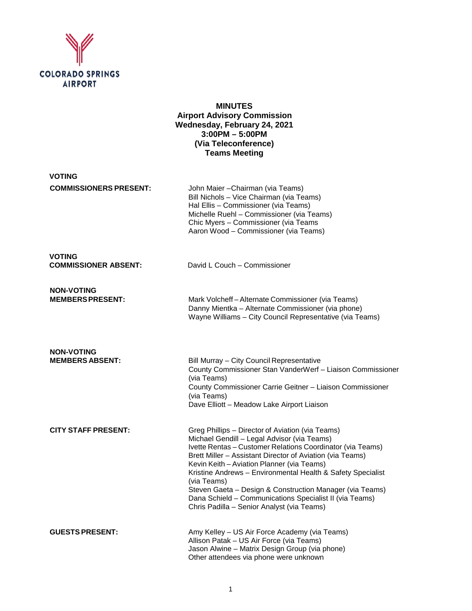

**MINUTES Airport Advisory Commission Wednesday, February 24, 2021 3:00PM – 5:00PM (Via Teleconference) Teams Meeting**

| <b>VOTING</b>                                |                                                                                                                                                                                                                                                                                                                                                                                                                                                                                                                             |
|----------------------------------------------|-----------------------------------------------------------------------------------------------------------------------------------------------------------------------------------------------------------------------------------------------------------------------------------------------------------------------------------------------------------------------------------------------------------------------------------------------------------------------------------------------------------------------------|
| <b>COMMISSIONERS PRESENT:</b>                | John Maier - Chairman (via Teams)<br>Bill Nichols - Vice Chairman (via Teams)<br>Hal Ellis - Commissioner (via Teams)<br>Michelle Ruehl - Commissioner (via Teams)<br>Chic Myers - Commissioner (via Teams<br>Aaron Wood - Commissioner (via Teams)                                                                                                                                                                                                                                                                         |
| <b>VOTING</b><br><b>COMMISSIONER ABSENT:</b> | David L Couch - Commissioner                                                                                                                                                                                                                                                                                                                                                                                                                                                                                                |
| <b>NON-VOTING</b><br><b>MEMBERS PRESENT:</b> | Mark Volcheff-Alternate Commissioner (via Teams)<br>Danny Mientka - Alternate Commissioner (via phone)<br>Wayne Williams - City Council Representative (via Teams)                                                                                                                                                                                                                                                                                                                                                          |
| <b>NON-VOTING</b><br><b>MEMBERS ABSENT:</b>  | Bill Murray - City Council Representative<br>County Commissioner Stan VanderWerf - Liaison Commissioner<br>(via Teams)<br>County Commissioner Carrie Geitner - Liaison Commissioner<br>(via Teams)<br>Dave Elliott - Meadow Lake Airport Liaison                                                                                                                                                                                                                                                                            |
| <b>CITY STAFF PRESENT:</b>                   | Greg Phillips - Director of Aviation (via Teams)<br>Michael Gendill - Legal Advisor (via Teams)<br>Ivette Rentas - Customer Relations Coordinator (via Teams)<br>Brett Miller - Assistant Director of Aviation (via Teams)<br>Kevin Keith - Aviation Planner (via Teams)<br>Kristine Andrews - Environmental Health & Safety Specialist<br>(via Teams)<br>Steven Gaeta - Design & Construction Manager (via Teams)<br>Dana Schield - Communications Specialist II (via Teams)<br>Chris Padilla - Senior Analyst (via Teams) |
| <b>GUESTS PRESENT:</b>                       | Amy Kelley - US Air Force Academy (via Teams)<br>Allison Patak - US Air Force (via Teams)<br>Jason Alwine - Matrix Design Group (via phone)                                                                                                                                                                                                                                                                                                                                                                                 |

Other attendees via phone were unknown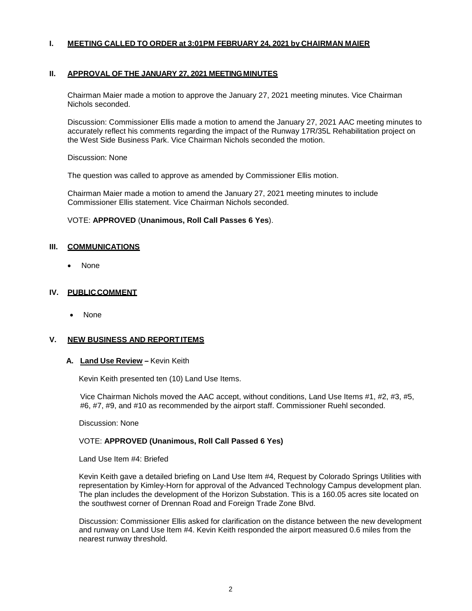# **I. MEETING CALLED TO ORDER at 3:01PM FEBRUARY 24, 2021 by CHAIRMAN MAIER**

#### **II. APPROVAL OF THE JANUARY 27, 2021 MEETINGMINUTES**

Chairman Maier made a motion to approve the January 27, 2021 meeting minutes. Vice Chairman Nichols seconded.

Discussion: Commissioner Ellis made a motion to amend the January 27, 2021 AAC meeting minutes to accurately reflect his comments regarding the impact of the Runway 17R/35L Rehabilitation project on the West Side Business Park. Vice Chairman Nichols seconded the motion.

Discussion: None

The question was called to approve as amended by Commissioner Ellis motion.

Chairman Maier made a motion to amend the January 27, 2021 meeting minutes to include Commissioner Ellis statement. Vice Chairman Nichols seconded.

#### VOTE: **APPROVED** (**Unanimous, Roll Call Passes 6 Yes**).

#### **III. COMMUNICATIONS**

• None

#### **IV. PUBLICCOMMENT**

• None

#### **V. NEW BUSINESS AND REPORTITEMS**

#### **A. Land Use Review –** Kevin Keith

Kevin Keith presented ten (10) Land Use Items.

Vice Chairman Nichols moved the AAC accept, without conditions, Land Use Items #1, #2, #3, #5, #6, #7, #9, and #10 as recommended by the airport staff. Commissioner Ruehl seconded.

Discussion: None

# VOTE: **APPROVED (Unanimous, Roll Call Passed 6 Yes)**

Land Use Item #4: Briefed

Kevin Keith gave a detailed briefing on Land Use Item #4, Request by Colorado Springs Utilities with representation by Kimley-Horn for approval of the Advanced Technology Campus development plan. The plan includes the development of the Horizon Substation. This is a 160.05 acres site located on the southwest corner of Drennan Road and Foreign Trade Zone Blvd.

Discussion: Commissioner Ellis asked for clarification on the distance between the new development and runway on Land Use Item #4. Kevin Keith responded the airport measured 0.6 miles from the nearest runway threshold.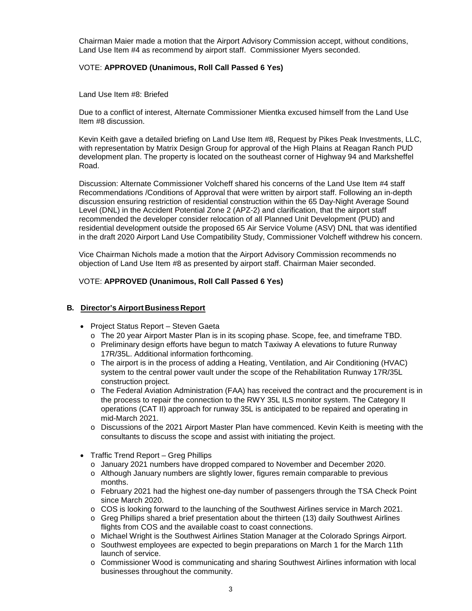Chairman Maier made a motion that the Airport Advisory Commission accept, without conditions, Land Use Item #4 as recommend by airport staff. Commissioner Myers seconded.

# VOTE: **APPROVED (Unanimous, Roll Call Passed 6 Yes)**

Land Use Item #8: Briefed

Due to a conflict of interest, Alternate Commissioner Mientka excused himself from the Land Use Item #8 discussion.

Kevin Keith gave a detailed briefing on Land Use Item #8, Request by Pikes Peak Investments, LLC, with representation by Matrix Design Group for approval of the High Plains at Reagan Ranch PUD development plan. The property is located on the southeast corner of Highway 94 and Marksheffel Road.

Discussion: Alternate Commissioner Volcheff shared his concerns of the Land Use Item #4 staff Recommendations /Conditions of Approval that were written by airport staff. Following an in-depth discussion ensuring restriction of residential construction within the 65 Day-Night Average Sound Level (DNL) in the Accident Potential Zone 2 (APZ-2) and clarification, that the airport staff recommended the developer consider relocation of all Planned Unit Development (PUD) and residential development outside the proposed 65 Air Service Volume (ASV) DNL that was identified in the draft 2020 Airport Land Use Compatibility Study, Commissioner Volcheff withdrew his concern.

Vice Chairman Nichols made a motion that the Airport Advisory Commission recommends no objection of Land Use Item #8 as presented by airport staff. Chairman Maier seconded.

### VOTE: **APPROVED (Unanimous, Roll Call Passed 6 Yes)**

### **B. Director's Airport Business Report**

- Project Status Report Steven Gaeta
	- o The 20 year Airport Master Plan is in its scoping phase. Scope, fee, and timeframe TBD.
	- o Preliminary design efforts have begun to match Taxiway A elevations to future Runway 17R/35L. Additional information forthcoming.
	- o The airport is in the process of adding a Heating, Ventilation, and Air Conditioning (HVAC) system to the central power vault under the scope of the Rehabilitation Runway 17R/35L construction project.
	- o The Federal Aviation Administration (FAA) has received the contract and the procurement is in the process to repair the connection to the RWY 35L ILS monitor system. The Category II operations (CAT II) approach for runway 35L is anticipated to be repaired and operating in mid-March 2021.
	- o Discussions of the 2021 Airport Master Plan have commenced. Kevin Keith is meeting with the consultants to discuss the scope and assist with initiating the project.
- Traffic Trend Report Greg Phillips
	- o January 2021 numbers have dropped compared to November and December 2020.
	- o Although January numbers are slightly lower, figures remain comparable to previous months.
	- o February 2021 had the highest one-day number of passengers through the TSA Check Point since March 2020.
	- o COS is looking forward to the launching of the Southwest Airlines service in March 2021.
	- o Greg Phillips shared a brief presentation about the thirteen (13) daily Southwest Airlines flights from COS and the available coast to coast connections.
	- o Michael Wright is the Southwest Airlines Station Manager at the Colorado Springs Airport.
	- o Southwest employees are expected to begin preparations on March 1 for the March 11th launch of service.
	- o Commissioner Wood is communicating and sharing Southwest Airlines information with local businesses throughout the community.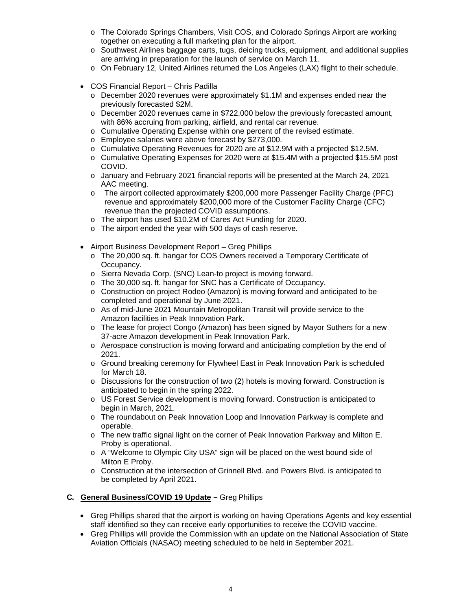- o The Colorado Springs Chambers, Visit COS, and Colorado Springs Airport are working together on executing a full marketing plan for the airport.
- o Southwest Airlines baggage carts, tugs, deicing trucks, equipment, and additional supplies are arriving in preparation for the launch of service on March 11.
- o On February 12, United Airlines returned the Los Angeles (LAX) flight to their schedule.
- COS Financial Report Chris Padilla
	- o December 2020 revenues were approximately \$1.1M and expenses ended near the previously forecasted \$2M.
	- o December 2020 revenues came in \$722,000 below the previously forecasted amount, with 86% accruing from parking, airfield, and rental car revenue.
	- o Cumulative Operating Expense within one percent of the revised estimate.
	- o Employee salaries were above forecast by \$273,000.
	- o Cumulative Operating Revenues for 2020 are at \$12.9M with a projected \$12.5M.
	- o Cumulative Operating Expenses for 2020 were at \$15.4M with a projected \$15.5M post COVID.
	- o January and February 2021 financial reports will be presented at the March 24, 2021 AAC meeting.
	- o The airport collected approximately \$200,000 more Passenger Facility Charge (PFC) revenue and approximately \$200,000 more of the Customer Facility Charge (CFC) revenue than the projected COVID assumptions.
	- o The airport has used \$10.2M of Cares Act Funding for 2020.
	- o The airport ended the year with 500 days of cash reserve.
- Airport Business Development Report Greg Phillips
	- o The 20,000 sq. ft. hangar for COS Owners received a Temporary Certificate of Occupancy.
	- o Sierra Nevada Corp. (SNC) Lean-to project is moving forward.
	- o The 30,000 sq. ft. hangar for SNC has a Certificate of Occupancy.
	- o Construction on project Rodeo (Amazon) is moving forward and anticipated to be completed and operational by June 2021.
	- o As of mid-June 2021 Mountain Metropolitan Transit will provide service to the Amazon facilities in Peak Innovation Park.
	- o The lease for project Congo (Amazon) has been signed by Mayor Suthers for a new 37-acre Amazon development in Peak Innovation Park.
	- $\circ$  Aerospace construction is moving forward and anticipating completion by the end of 2021.
	- o Ground breaking ceremony for Flywheel East in Peak Innovation Park is scheduled for March 18.
	- o Discussions for the construction of two (2) hotels is moving forward. Construction is anticipated to begin in the spring 2022.
	- o US Forest Service development is moving forward. Construction is anticipated to begin in March, 2021.
	- o The roundabout on Peak Innovation Loop and Innovation Parkway is complete and operable.
	- o The new traffic signal light on the corner of Peak Innovation Parkway and Milton E. Proby is operational.
	- o A "Welcome to Olympic City USA" sign will be placed on the west bound side of Milton E Proby.
	- o Construction at the intersection of Grinnell Blvd. and Powers Blvd. is anticipated to be completed by April 2021.

### **C. General Business/COVID 19 Update –** Greg Phillips

- Greg Phillips shared that the airport is working on having Operations Agents and key essential staff identified so they can receive early opportunities to receive the COVID vaccine.
- Greg Phillips will provide the Commission with an update on the National Association of State Aviation Officials (NASAO) meeting scheduled to be held in September 2021.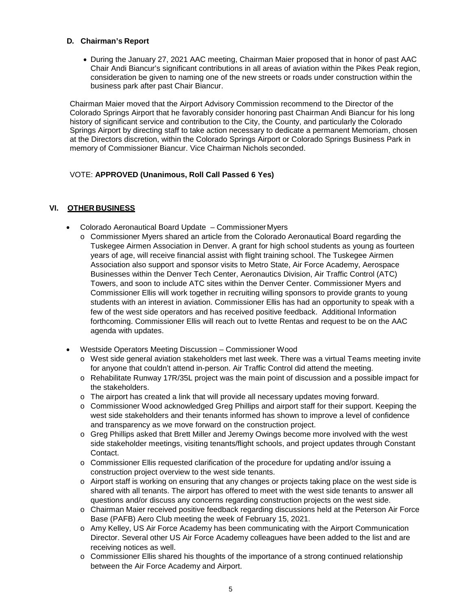# **D. Chairman's Report**

• During the January 27, 2021 AAC meeting, Chairman Maier proposed that in honor of past AAC Chair Andi Biancur's significant contributions in all areas of aviation within the Pikes Peak region, consideration be given to naming one of the new streets or roads under construction within the business park after past Chair Biancur.

Chairman Maier moved that the Airport Advisory Commission recommend to the Director of the Colorado Springs Airport that he favorably consider honoring past Chairman Andi Biancur for his long history of significant service and contribution to the City, the County, and particularly the Colorado Springs Airport by directing staff to take action necessary to dedicate a permanent Memoriam, chosen at the Directors discretion, within the Colorado Springs Airport or Colorado Springs Business Park in memory of Commissioner Biancur. Vice Chairman Nichols seconded.

# VOTE: **APPROVED (Unanimous, Roll Call Passed 6 Yes)**

# **VI. OTHER BUSINESS**

- Colorado Aeronautical Board Update Commissioner Myers
	- o Commissioner Myers shared an article from the Colorado Aeronautical Board regarding the Tuskegee Airmen Association in Denver. A grant for high school students as young as fourteen years of age, will receive financial assist with flight training school. The Tuskegee Airmen Association also support and sponsor visits to Metro State, Air Force Academy, Aerospace Businesses within the Denver Tech Center, Aeronautics Division, Air Traffic Control (ATC) Towers, and soon to include ATC sites within the Denver Center. Commissioner Myers and Commissioner Ellis will work together in recruiting willing sponsors to provide grants to young students with an interest in aviation. Commissioner Ellis has had an opportunity to speak with a few of the west side operators and has received positive feedback. Additional Information forthcoming. Commissioner Ellis will reach out to Ivette Rentas and request to be on the AAC agenda with updates.
- Westside Operators Meeting Discussion Commissioner Wood
	- o West side general aviation stakeholders met last week. There was a virtual Teams meeting invite for anyone that couldn't attend in-person. Air Traffic Control did attend the meeting.
	- o Rehabilitate Runway 17R/35L project was the main point of discussion and a possible impact for the stakeholders.
	- o The airport has created a link that will provide all necessary updates moving forward.
	- o Commissioner Wood acknowledged Greg Phillips and airport staff for their support. Keeping the west side stakeholders and their tenants informed has shown to improve a level of confidence and transparency as we move forward on the construction project.
	- o Greg Phillips asked that Brett Miller and Jeremy Owings become more involved with the west side stakeholder meetings, visiting tenants/flight schools, and project updates through Constant Contact.
	- o Commissioner Ellis requested clarification of the procedure for updating and/or issuing a construction project overview to the west side tenants.
	- o Airport staff is working on ensuring that any changes or projects taking place on the west side is shared with all tenants. The airport has offered to meet with the west side tenants to answer all questions and/or discuss any concerns regarding construction projects on the west side.
	- o Chairman Maier received positive feedback regarding discussions held at the Peterson Air Force Base (PAFB) Aero Club meeting the week of February 15, 2021.
	- o Amy Kelley, US Air Force Academy has been communicating with the Airport Communication Director. Several other US Air Force Academy colleagues have been added to the list and are receiving notices as well.
	- o Commissioner Ellis shared his thoughts of the importance of a strong continued relationship between the Air Force Academy and Airport.